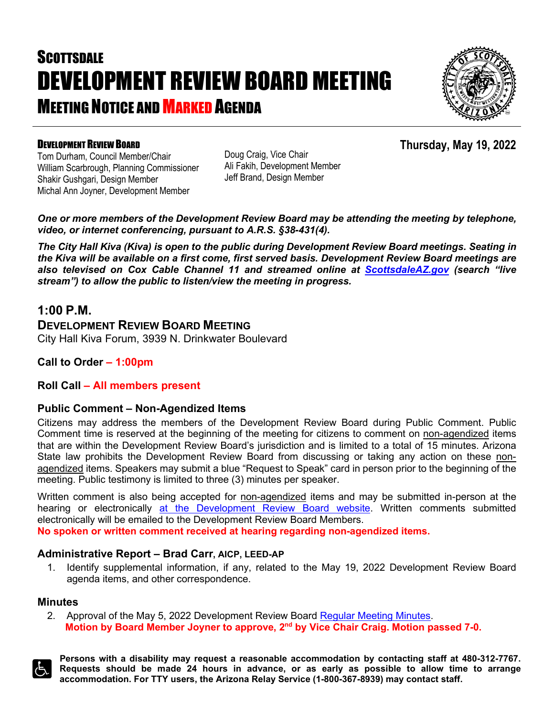# **SCOTTSDALE** DEVELOPMENT REVIEW BOARD MEETING **MEETING NOTICE AND MARKED AGENDA**



**Thursday, May 19, 2022**

### DEVELOPMENT REVIEW BOARD

Tom Durham, Council Member/Chair William Scarbrough, Planning Commissioner Shakir Gushgari, Design Member Michal Ann Joyner, Development Member

Doug Craig, Vice Chair Ali Fakih, Development Member Jeff Brand, Design Member

*One or more members of the Development Review Board may be attending the meeting by telephone, video, or internet conferencing, pursuant to A.R.S. §38-431(4).*

*The City Hall Kiva (Kiva) is open to the public during Development Review Board meetings. Seating in the Kiva will be available on a first come, first served basis. Development Review Board meetings are also televised on Cox Cable Channel 11 and streamed online at [ScottsdaleAZ.gov](http://www.scottsdaleaz.gov/) (search "live stream") to allow the public to listen/view the meeting in progress.*

## **1:00 P.M.**

### **DEVELOPMENT REVIEW BOARD MEETING**

City Hall Kiva Forum, 3939 N. Drinkwater Boulevard

**Call to Order – 1:00pm**

#### **Roll Call – All members present**

#### **Public Comment – Non-Agendized Items**

Citizens may address the members of the Development Review Board during Public Comment. Public Comment time is reserved at the beginning of the meeting for citizens to comment on non-agendized items that are within the Development Review Board's jurisdiction and is limited to a total of 15 minutes. Arizona State law prohibits the Development Review Board from discussing or taking any action on these nonagendized items. Speakers may submit a blue "Request to Speak" card in person prior to the beginning of the meeting. Public testimony is limited to three (3) minutes per speaker.

Written comment is also being accepted for non-agendized items and may be submitted in-person at the hearing or electronically [at the Development Review Board website.](https://www.scottsdaleaz.gov/boards/development-review-board/public-comment) Written comments submitted electronically will be emailed to the Development Review Board Members.

**No spoken or written comment received at hearing regarding non-agendized items.**

#### **Administrative Report – Brad Carr, AICP, LEED-AP**

1. Identify supplemental information, if any, related to the May 19, 2022 Development Review Board agenda items, and other correspondence.

#### **Minutes**

2. Approval of the May 5, 2022 Development Review Board [Regular Meeting Minutes.](https://eservices.scottsdaleaz.gov/planning/projectsummary/unrelated_documents/DRB_MEETING_MINUTES_02032022.pdf) **Motion by Board Member Joyner to approve, 2nd by Vice Chair Craig. Motion passed 7-0.**



**Persons with a disability may request a reasonable accommodation by contacting staff at 480-312-7767. Requests should be made 24 hours in advance, or as early as possible to allow time to arrange accommodation. For TTY users, the Arizona Relay Service (1-800-367-8939) may contact staff.**